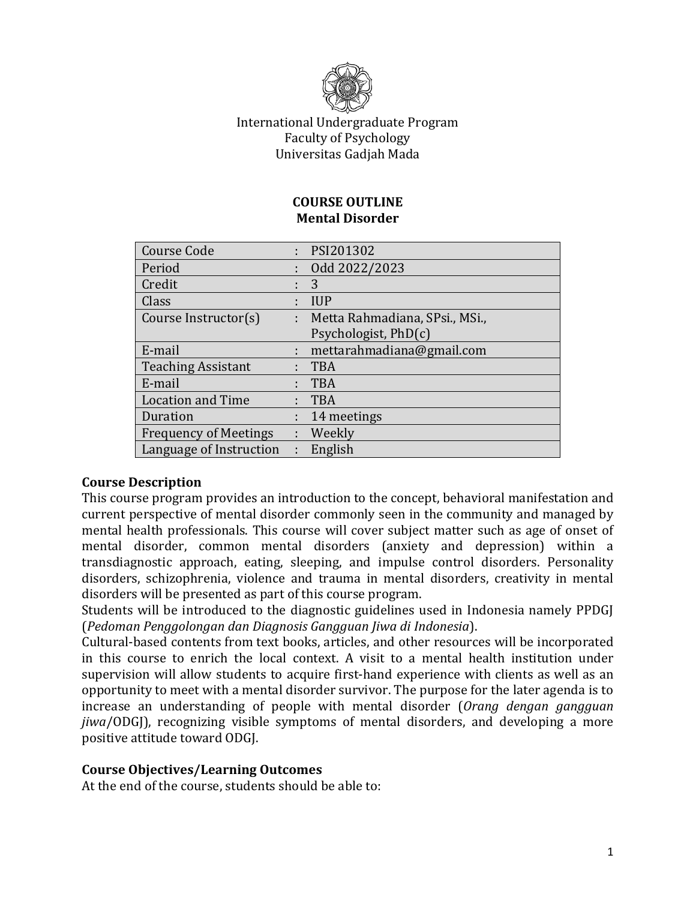

# International Undergraduate Program Faculty of Psychology Universitas Gadjah Mada

#### **COURSE OUTLINE Mental Disorder**

| <b>Course Code</b>           |    | PSI201302                      |
|------------------------------|----|--------------------------------|
| Period                       |    | Odd 2022/2023                  |
| Credit                       |    | 3                              |
| Class                        |    | <b>IUP</b>                     |
| Course Instructor(s)         | t. | Metta Rahmadiana, SPsi., MSi., |
|                              |    | Psychologist, PhD(c)           |
| E-mail                       |    | mettarahmadiana@gmail.com      |
| <b>Teaching Assistant</b>    |    | <b>TBA</b>                     |
| E-mail                       |    | <b>TBA</b>                     |
| <b>Location and Time</b>     |    | <b>TBA</b>                     |
| Duration                     |    | 14 meetings                    |
| <b>Frequency of Meetings</b> | t. | Weekly                         |
| Language of Instruction      |    | English                        |

# **Course Description**

This course program provides an introduction to the concept, behavioral manifestation and current perspective of mental disorder commonly seen in the community and managed by mental health professionals. This course will cover subject matter such as age of onset of mental disorder, common mental disorders (anxiety and depression) within a transdiagnostic approach, eating, sleeping, and impulse control disorders. Personality disorders, schizophrenia, violence and trauma in mental disorders, creativity in mental disorders will be presented as part of this course program.

Students will be introduced to the diagnostic guidelines used in Indonesia namely PPDGJ (*Pedoman Penggolongan dan Diagnosis Gangguan Jiwa di Indonesia*).

Cultural-based contents from text books, articles, and other resources will be incorporated in this course to enrich the local context. A visit to a mental health institution under supervision will allow students to acquire first-hand experience with clients as well as an opportunity to meet with a mental disorder survivor. The purpose for the later agenda is to increase an understanding of people with mental disorder (*Orang dengan gangguan jiwa*/ODGJ), recognizing visible symptoms of mental disorders, and developing a more positive attitude toward ODGJ.

#### **Course Objectives/Learning Outcomes**

At the end of the course, students should be able to: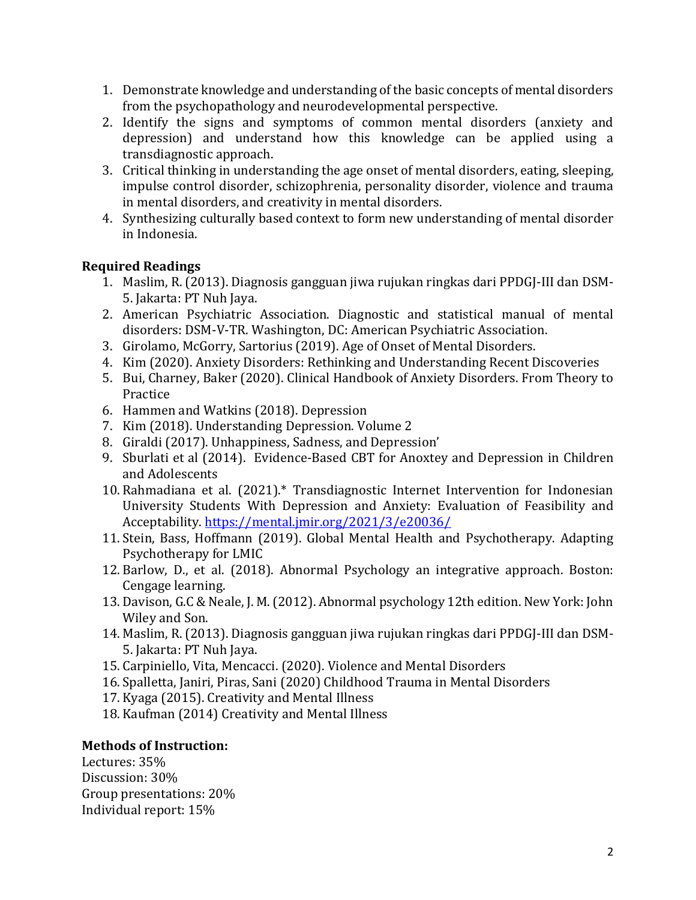- 1. Demonstrate knowledge and understanding of the basic concepts of mental disorders from the psychopathology and neurodevelopmental perspective.
- 2. Identify the signs and symptoms of common mental disorders (anxiety and depression) and understand how this knowledge can be applied using a transdiagnostic approach.
- 3. Critical thinking in understanding the age onset of mental disorders, eating, sleeping, impulse control disorder, schizophrenia, personality disorder, violence and trauma in mental disorders, and creativity in mental disorders.
- 4. Synthesizing culturally based context to form new understanding of mental disorder in Indonesia.

# **Required Readings**

- 1. Maslim, R. (2013). Diagnosis gangguan jiwa rujukan ringkas dari PPDGJ-III dan DSM-5. Jakarta: PT Nuh Jaya.
- 2. American Psychiatric Association. Diagnostic and statistical manual of mental disorders: DSM-V-TR. Washington, DC: American Psychiatric Association.
- 3. Girolamo, McGorry, Sartorius (2019). Age of Onset of Mental Disorders.
- 4. Kim (2020). Anxiety Disorders: Rethinking and Understanding Recent Discoveries
- 5. Bui, Charney, Baker (2020). Clinical Handbook of Anxiety Disorders. From Theory to Practice
- 6. Hammen and Watkins (2018). Depression
- 7. Kim (2018). Understanding Depression. Volume 2
- 8. Giraldi (2017). Unhappiness, Sadness, and Depression'
- 9. Sburlati et al (2014). Evidence-Based CBT for Anoxtey and Depression in Children and Adolescents
- 10. Rahmadiana et al. (2021).\* Transdiagnostic Internet Intervention for Indonesian University Students With Depression and Anxiety: Evaluation of Feasibility and Acceptability. <https://mental.jmir.org/2021/3/e20036/>
- 11. Stein, Bass, Hoffmann (2019). Global Mental Health and Psychotherapy. Adapting Psychotherapy for LMIC
- 12. Barlow, D., et al. (2018). Abnormal Psychology an integrative approach. Boston: Cengage learning.
- 13. Davison, G.C & Neale, J. M. (2012). Abnormal psychology 12th edition. New York: John Wiley and Son.
- 14. Maslim, R. (2013). Diagnosis gangguan jiwa rujukan ringkas dari PPDGJ-III dan DSM-5. Jakarta: PT Nuh Jaya.
- 15. Carpiniello, Vita, Mencacci. (2020). Violence and Mental Disorders
- 16. Spalletta, Janiri, Piras, Sani (2020) Childhood Trauma in Mental Disorders
- 17. Kyaga (2015). Creativity and Mental Illness
- 18. Kaufman (2014) Creativity and Mental Illness

# **Methods of Instruction:**

Lectures: 35% Discussion: 30% Group presentations: 20% Individual report: 15%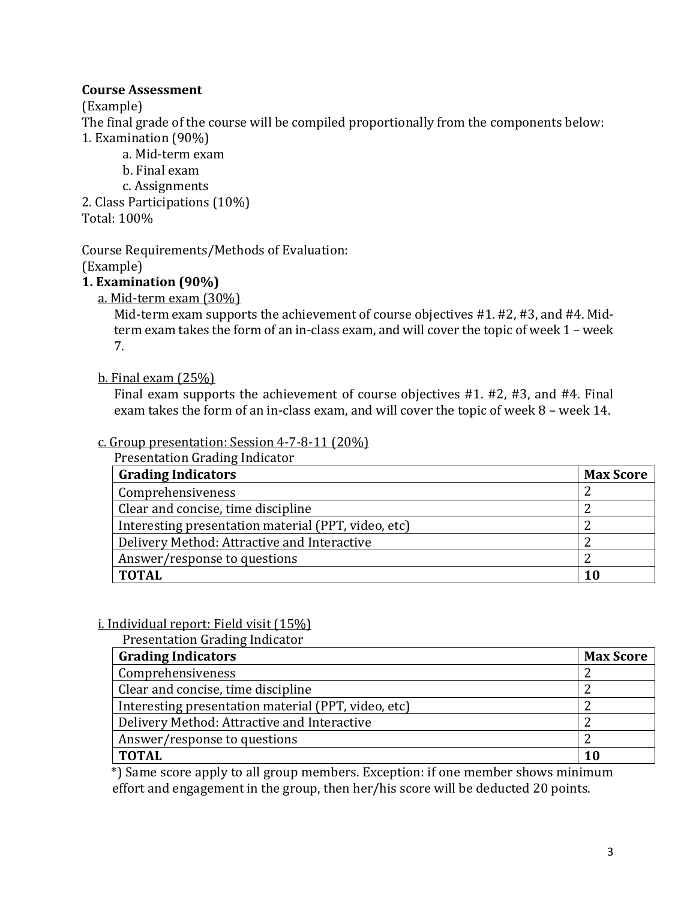### **Course Assessment**

(Example)

The final grade of the course will be compiled proportionally from the components below: 1. Examination (90%)

a. Mid-term exam

b. Final exam

c. Assignments

2. Class Participations (10%) Total: 100%

Course Requirements/Methods of Evaluation:

(Example)

# **1. Examination (90%)**

a. Mid-term exam (30%)

Mid-term exam supports the achievement of course objectives #1. #2, #3, and #4. Midterm exam takes the form of an in-class exam, and will cover the topic of week 1 – week 7.

#### b. Final exam (25%)

Final exam supports the achievement of course objectives #1. #2, #3, and #4. Final exam takes the form of an in-class exam, and will cover the topic of week 8 – week 14.

#### c. Group presentation: Session 4-7-8-11 (20%) Presentation Grading Indicator

| <b>Grading Indicators</b>                           | <b>Max Score</b> |
|-----------------------------------------------------|------------------|
| Comprehensiveness                                   |                  |
| Clear and concise, time discipline                  |                  |
| Interesting presentation material (PPT, video, etc) |                  |
| Delivery Method: Attractive and Interactive         |                  |
| Answer/response to questions                        |                  |
| <b>TOTAL</b>                                        | 10               |

#### i. Individual report: Field visit (15%)

Presentation Grading Indicator

| <b>Grading Indicators</b>                           | <b>Max Score</b> |
|-----------------------------------------------------|------------------|
| Comprehensiveness                                   |                  |
| Clear and concise, time discipline                  |                  |
| Interesting presentation material (PPT, video, etc) |                  |
| Delivery Method: Attractive and Interactive         |                  |
| Answer/response to questions                        |                  |
| <b>TOTAL</b>                                        | 10               |

 \*) Same score apply to all group members. Exception: if one member shows minimum effort and engagement in the group, then her/his score will be deducted 20 points.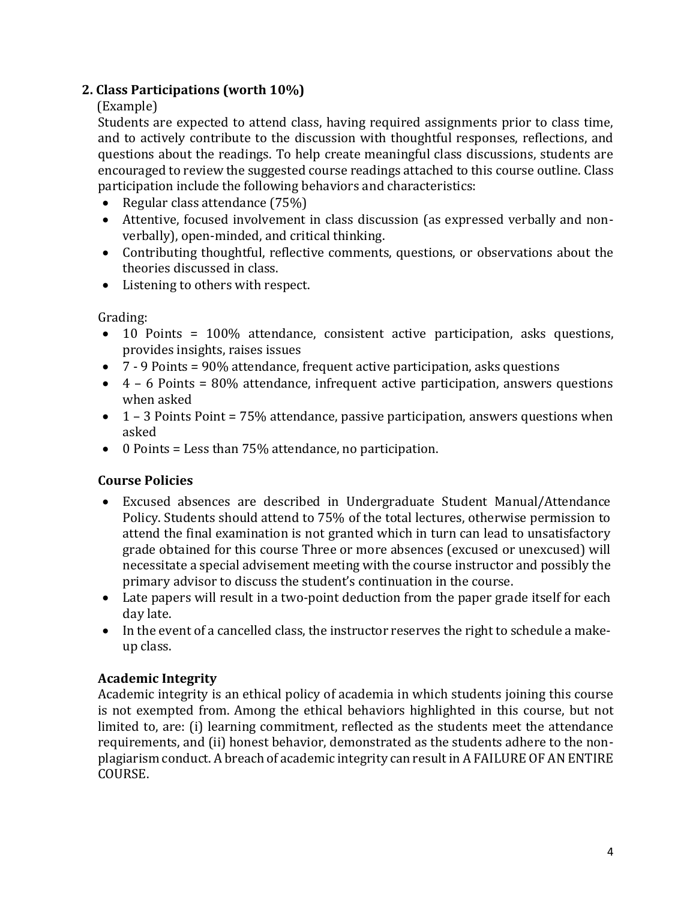# **2. Class Participations (worth 10%)**

# (Example)

Students are expected to attend class, having required assignments prior to class time, and to actively contribute to the discussion with thoughtful responses, reflections, and questions about the readings. To help create meaningful class discussions, students are encouraged to review the suggested course readings attached to this course outline. Class participation include the following behaviors and characteristics:

- Regular class attendance (75%)
- Attentive, focused involvement in class discussion (as expressed verbally and nonverbally), open-minded, and critical thinking.
- Contributing thoughtful, reflective comments, questions, or observations about the theories discussed in class.
- Listening to others with respect.

# Grading:

- 10 Points = 100% attendance, consistent active participation, asks questions, provides insights, raises issues
- 7 9 Points = 90% attendance, frequent active participation, asks questions
- $\bullet$  4 6 Points = 80% attendance, infrequent active participation, answers questions when asked
- $\bullet$  1 3 Points Point = 75% attendance, passive participation, answers questions when asked
- 0 Points = Less than 75% attendance, no participation.

# **Course Policies**

- Excused absences are described in Undergraduate Student Manual/Attendance Policy. Students should attend to 75% of the total lectures, otherwise permission to attend the final examination is not granted which in turn can lead to unsatisfactory grade obtained for this course Three or more absences (excused or unexcused) will necessitate a special advisement meeting with the course instructor and possibly the primary advisor to discuss the student's continuation in the course.
- Late papers will result in a two-point deduction from the paper grade itself for each day late.
- In the event of a cancelled class, the instructor reserves the right to schedule a makeup class.

# **Academic Integrity**

Academic integrity is an ethical policy of academia in which students joining this course is not exempted from. Among the ethical behaviors highlighted in this course, but not limited to, are: (i) learning commitment, reflected as the students meet the attendance requirements, and (ii) honest behavior, demonstrated as the students adhere to the nonplagiarism conduct. A breach of academic integrity can result in A FAILURE OF AN ENTIRE COURSE.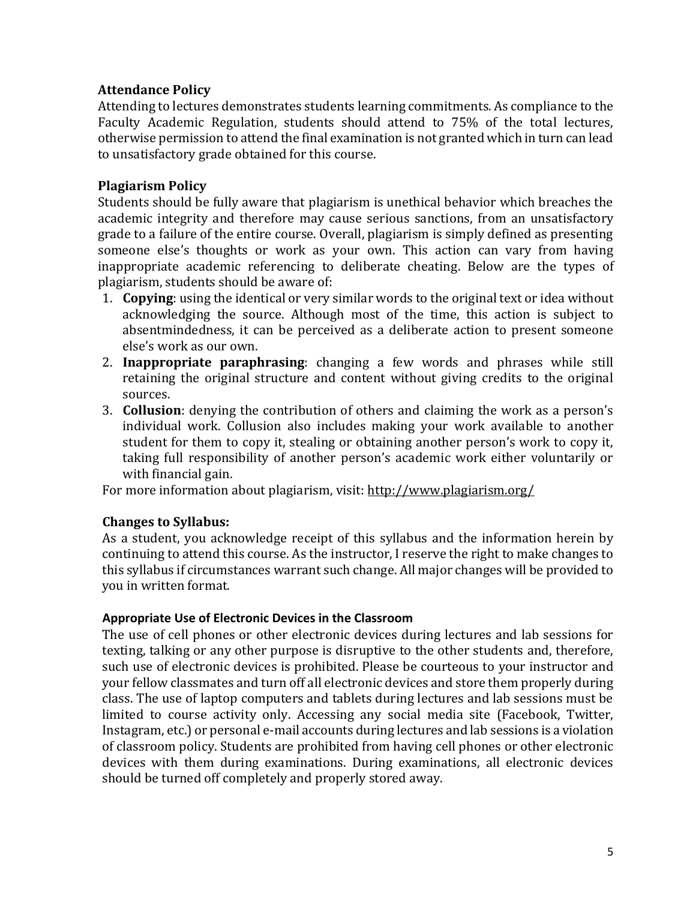#### **Attendance Policy**

Attending to lectures demonstrates students learning commitments. As compliance to the Faculty Academic Regulation, students should attend to 75% of the total lectures, otherwise permission to attend the final examination is not granted which in turn can lead to unsatisfactory grade obtained for this course.

### **Plagiarism Policy**

Students should be fully aware that plagiarism is unethical behavior which breaches the academic integrity and therefore may cause serious sanctions, from an unsatisfactory grade to a failure of the entire course. Overall, plagiarism is simply defined as presenting someone else's thoughts or work as your own. This action can vary from having inappropriate academic referencing to deliberate cheating. Below are the types of plagiarism, students should be aware of:

- 1. **Copying**: using the identical or very similar words to the original text or idea without acknowledging the source. Although most of the time, this action is subject to absentmindedness, it can be perceived as a deliberate action to present someone else's work as our own.
- 2. **Inappropriate paraphrasing**: changing a few words and phrases while still retaining the original structure and content without giving credits to the original sources.
- 3. **Collusion**: denying the contribution of others and claiming the work as a person's individual work. Collusion also includes making your work available to another student for them to copy it, stealing or obtaining another person's work to copy it, taking full responsibility of another person's academic work either voluntarily or with financial gain.

For more information about plagiarism, visit:<http://www.plagiarism.org/>

#### **Changes to Syllabus:**

As a student, you acknowledge receipt of this syllabus and the information herein by continuing to attend this course. As the instructor, I reserve the right to make changes to this syllabus if circumstances warrant such change. All major changes will be provided to you in written format.

#### **Appropriate Use of Electronic Devices in the Classroom**

The use of cell phones or other electronic devices during lectures and lab sessions for texting, talking or any other purpose is disruptive to the other students and, therefore, such use of electronic devices is prohibited. Please be courteous to your instructor and your fellow classmates and turn off all electronic devices and store them properly during class. The use of laptop computers and tablets during lectures and lab sessions must be limited to course activity only. Accessing any social media site (Facebook, Twitter, Instagram, etc.) or personal e-mail accounts during lectures and lab sessions is a violation of classroom policy. Students are prohibited from having cell phones or other electronic devices with them during examinations. During examinations, all electronic devices should be turned off completely and properly stored away.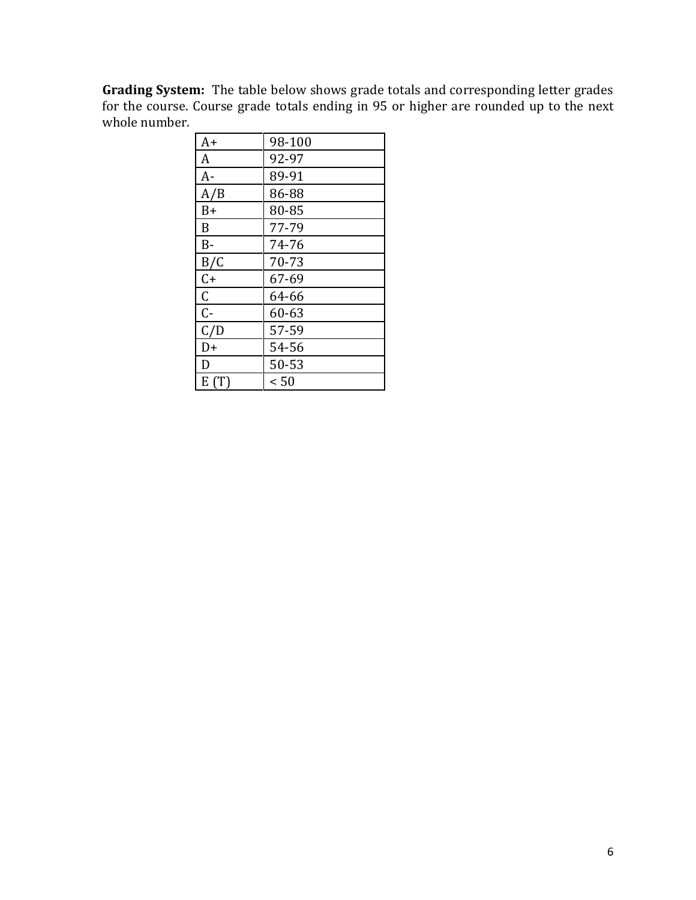**Grading System:** The table below shows grade totals and corresponding letter grades for the course. Course grade totals ending in 95 or higher are rounded up to the next whole number. <u> 1989 - Johann Barbara, martin a</u>

| $A+$        | 98-100    |
|-------------|-----------|
| A           | 92-97     |
| $A-$        | 89-91     |
| A/B         | 86-88     |
| $B+$        | 80-85     |
| B           | 77-79     |
| $B -$       | 74-76     |
| B/C         | 70-73     |
| $C +$       | 67-69     |
| $\mathsf C$ | 64-66     |
| $C -$       | 60-63     |
| C/D         | 57-59     |
| D+          | 54-56     |
| D           | $50 - 53$ |
| E(T)        | < 50      |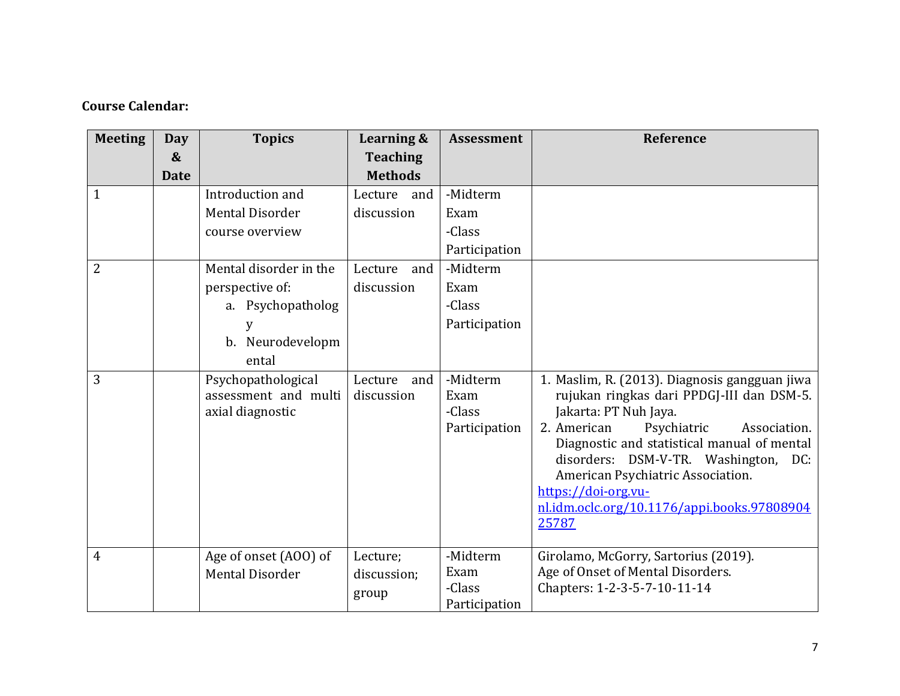# **Course Calendar:**

| <b>Meeting</b> | Day               | <b>Topics</b>                                                  | Learning &                       | <b>Assessment</b>                           | Reference                                                                                                                                                                                                                                                                                                                                                                    |
|----------------|-------------------|----------------------------------------------------------------|----------------------------------|---------------------------------------------|------------------------------------------------------------------------------------------------------------------------------------------------------------------------------------------------------------------------------------------------------------------------------------------------------------------------------------------------------------------------------|
|                | $\boldsymbol{\&}$ |                                                                | <b>Teaching</b>                  |                                             |                                                                                                                                                                                                                                                                                                                                                                              |
|                | <b>Date</b>       |                                                                | <b>Methods</b>                   |                                             |                                                                                                                                                                                                                                                                                                                                                                              |
| $\mathbf{1}$   |                   | Introduction and                                               | and<br>Lecture                   | -Midterm                                    |                                                                                                                                                                                                                                                                                                                                                                              |
|                |                   | <b>Mental Disorder</b>                                         | discussion                       | Exam                                        |                                                                                                                                                                                                                                                                                                                                                                              |
|                |                   | course overview                                                |                                  | -Class                                      |                                                                                                                                                                                                                                                                                                                                                                              |
|                |                   |                                                                |                                  | Participation                               |                                                                                                                                                                                                                                                                                                                                                                              |
| $\overline{2}$ |                   | Mental disorder in the                                         | Lecture<br>and                   | -Midterm                                    |                                                                                                                                                                                                                                                                                                                                                                              |
|                |                   | perspective of:                                                | discussion                       | Exam                                        |                                                                                                                                                                                                                                                                                                                                                                              |
|                |                   | a. Psychopatholog                                              |                                  | -Class                                      |                                                                                                                                                                                                                                                                                                                                                                              |
|                |                   | y                                                              |                                  | Participation                               |                                                                                                                                                                                                                                                                                                                                                                              |
|                |                   | b. Neurodevelopm                                               |                                  |                                             |                                                                                                                                                                                                                                                                                                                                                                              |
|                |                   | ental                                                          |                                  |                                             |                                                                                                                                                                                                                                                                                                                                                                              |
| 3              |                   | Psychopathological<br>assessment and multi<br>axial diagnostic | Lecture<br>and<br>discussion     | -Midterm<br>Exam<br>-Class<br>Participation | 1. Maslim, R. (2013). Diagnosis gangguan jiwa<br>rujukan ringkas dari PPDGJ-III dan DSM-5.<br>Jakarta: PT Nuh Jaya.<br>2. American<br>Psychiatric<br>Association.<br>Diagnostic and statistical manual of mental<br>disorders: DSM-V-TR. Washington, DC:<br>American Psychiatric Association.<br>https://doi-org.vu-<br>nl.idm.oclc.org/10.1176/appi.books.97808904<br>25787 |
| $\overline{4}$ |                   | Age of onset (AOO) of<br><b>Mental Disorder</b>                | Lecture;<br>discussion;<br>group | -Midterm<br>Exam<br>-Class<br>Participation | Girolamo, McGorry, Sartorius (2019).<br>Age of Onset of Mental Disorders.<br>Chapters: 1-2-3-5-7-10-11-14                                                                                                                                                                                                                                                                    |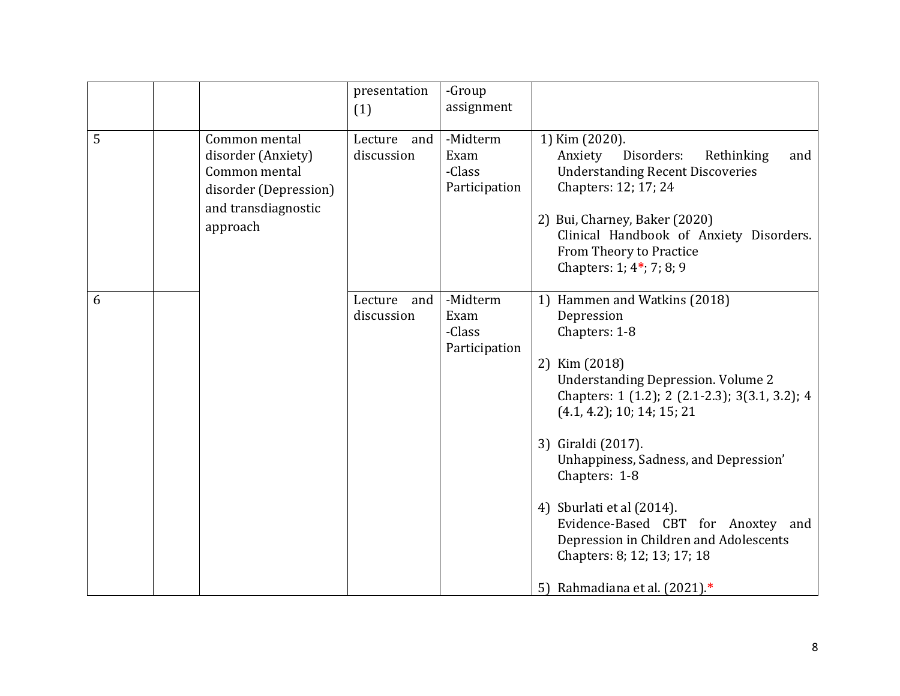|   |                                                                                                                  | presentation<br>(1)          | -Group<br>assignment                        |                                                                                                                                                                                                                                                                                                                                                                                                                                                                           |
|---|------------------------------------------------------------------------------------------------------------------|------------------------------|---------------------------------------------|---------------------------------------------------------------------------------------------------------------------------------------------------------------------------------------------------------------------------------------------------------------------------------------------------------------------------------------------------------------------------------------------------------------------------------------------------------------------------|
| 5 | Common mental<br>disorder (Anxiety)<br>Common mental<br>disorder (Depression)<br>and transdiagnostic<br>approach | Lecture<br>and<br>discussion | -Midterm<br>Exam<br>-Class<br>Participation | 1) Kim (2020).<br>Disorders:<br>Rethinking<br>Anxiety<br>and<br><b>Understanding Recent Discoveries</b><br>Chapters: 12; 17; 24<br>2) Bui, Charney, Baker (2020)<br>Clinical Handbook of Anxiety Disorders.<br>From Theory to Practice<br>Chapters: 1; 4*; 7; 8; 9                                                                                                                                                                                                        |
| 6 |                                                                                                                  | Lecture<br>and<br>discussion | -Midterm<br>Exam<br>-Class<br>Participation | 1) Hammen and Watkins (2018)<br>Depression<br>Chapters: 1-8<br>2) Kim (2018)<br><b>Understanding Depression. Volume 2</b><br>Chapters: 1 (1.2); 2 (2.1-2.3); 3(3.1, 3.2); 4<br>$(4.1, 4.2)$ ; 10; 14; 15; 21<br>3) Giraldi (2017).<br>Unhappiness, Sadness, and Depression'<br>Chapters: 1-8<br>4) Sburlati et al (2014).<br>Evidence-Based CBT for Anoxtey and<br>Depression in Children and Adolescents<br>Chapters: 8; 12; 13; 17; 18<br>5) Rahmadiana et al. (2021).* |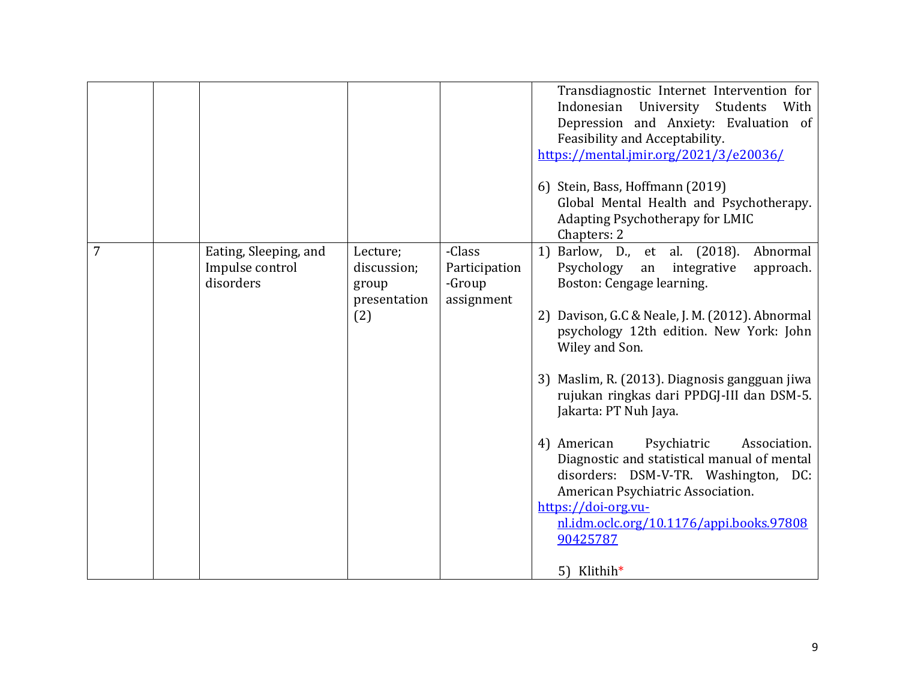|   |                                                       |                                                         |                                                 | Transdiagnostic Internet Intervention for<br>Indonesian<br>University Students<br>With<br>Depression and Anxiety: Evaluation of<br>Feasibility and Acceptability.<br>https://mental.jmir.org/2021/3/e20036/<br>6) Stein, Bass, Hoffmann (2019)<br>Global Mental Health and Psychotherapy.<br>Adapting Psychotherapy for LMIC<br>Chapters: 2                                                                                                                                                                                                                                                                                        |
|---|-------------------------------------------------------|---------------------------------------------------------|-------------------------------------------------|------------------------------------------------------------------------------------------------------------------------------------------------------------------------------------------------------------------------------------------------------------------------------------------------------------------------------------------------------------------------------------------------------------------------------------------------------------------------------------------------------------------------------------------------------------------------------------------------------------------------------------|
| 7 | Eating, Sleeping, and<br>Impulse control<br>disorders | Lecture;<br>discussion;<br>group<br>presentation<br>(2) | -Class<br>Participation<br>-Group<br>assignment | 1) Barlow, D., et al. (2018).<br>Abnormal<br>Psychology<br>an integrative<br>approach.<br>Boston: Cengage learning.<br>2) Davison, G.C & Neale, J. M. (2012). Abnormal<br>psychology 12th edition. New York: John<br>Wiley and Son.<br>3) Maslim, R. (2013). Diagnosis gangguan jiwa<br>rujukan ringkas dari PPDGJ-III dan DSM-5.<br>Jakarta: PT Nuh Jaya.<br>4) American<br>Psychiatric<br>Association.<br>Diagnostic and statistical manual of mental<br>disorders: DSM-V-TR. Washington, DC:<br>American Psychiatric Association.<br>https://doi-org.vu-<br>nl.idm.oclc.org/10.1176/appi.books.97808<br>90425787<br>5) Klithih* |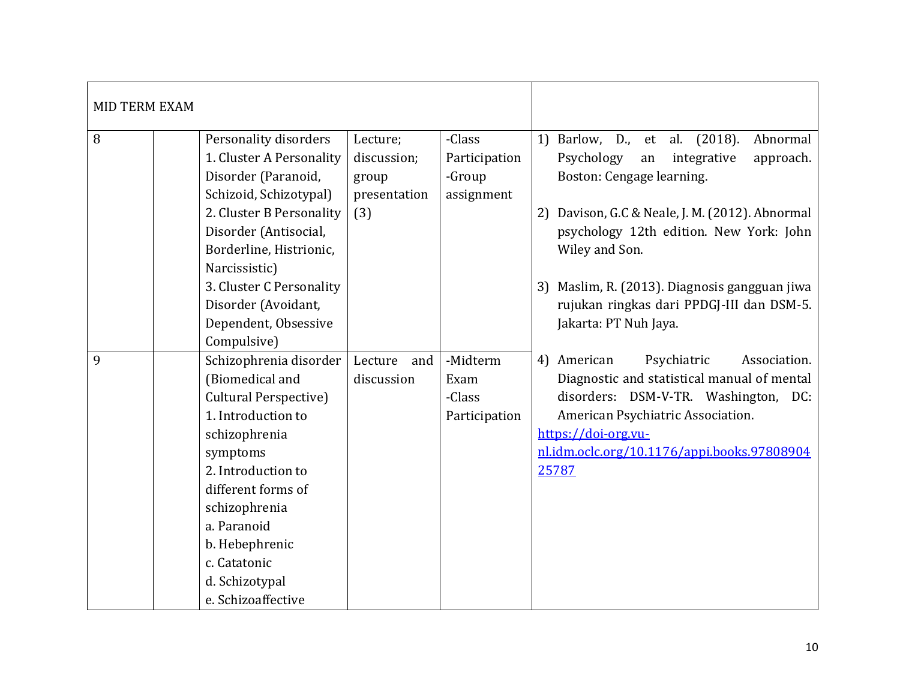| <b>MID TERM EXAM</b> |                                                                                                                                                                                                                                                                                               |                                                         |                                                 |                                                                                                                                                                                                                                                                                                                                                                     |
|----------------------|-----------------------------------------------------------------------------------------------------------------------------------------------------------------------------------------------------------------------------------------------------------------------------------------------|---------------------------------------------------------|-------------------------------------------------|---------------------------------------------------------------------------------------------------------------------------------------------------------------------------------------------------------------------------------------------------------------------------------------------------------------------------------------------------------------------|
| 8                    | Personality disorders<br>1. Cluster A Personality<br>Disorder (Paranoid,<br>Schizoid, Schizotypal)<br>2. Cluster B Personality<br>Disorder (Antisocial,<br>Borderline, Histrionic,<br>Narcissistic)<br>3. Cluster C Personality<br>Disorder (Avoidant,<br>Dependent, Obsessive<br>Compulsive) | Lecture;<br>discussion;<br>group<br>presentation<br>(3) | -Class<br>Participation<br>-Group<br>assignment | (2018).<br>1) Barlow, D., et al.<br>Abnormal<br>Psychology<br>approach.<br>integrative<br>an<br>Boston: Cengage learning.<br>2) Davison, G.C & Neale, J. M. (2012). Abnormal<br>psychology 12th edition. New York: John<br>Wiley and Son.<br>Maslim, R. (2013). Diagnosis gangguan jiwa<br>3)<br>rujukan ringkas dari PPDGJ-III dan DSM-5.<br>Jakarta: PT Nuh Jaya. |
| 9                    | Schizophrenia disorder<br>(Biomedical and<br><b>Cultural Perspective)</b><br>1. Introduction to<br>schizophrenia<br>symptoms<br>2. Introduction to<br>different forms of<br>schizophrenia<br>a. Paranoid<br>b. Hebephrenic<br>c. Catatonic<br>d. Schizotypal<br>e. Schizoaffective            | Lecture<br>and<br>discussion                            | -Midterm<br>Exam<br>-Class<br>Participation     | 4) American<br>Psychiatric<br>Association.<br>Diagnostic and statistical manual of mental<br>disorders: DSM-V-TR. Washington, DC:<br>American Psychiatric Association.<br>https://doi-org.vu-<br>nl.idm.oclc.org/10.1176/appi.books.97808904<br>25787                                                                                                               |